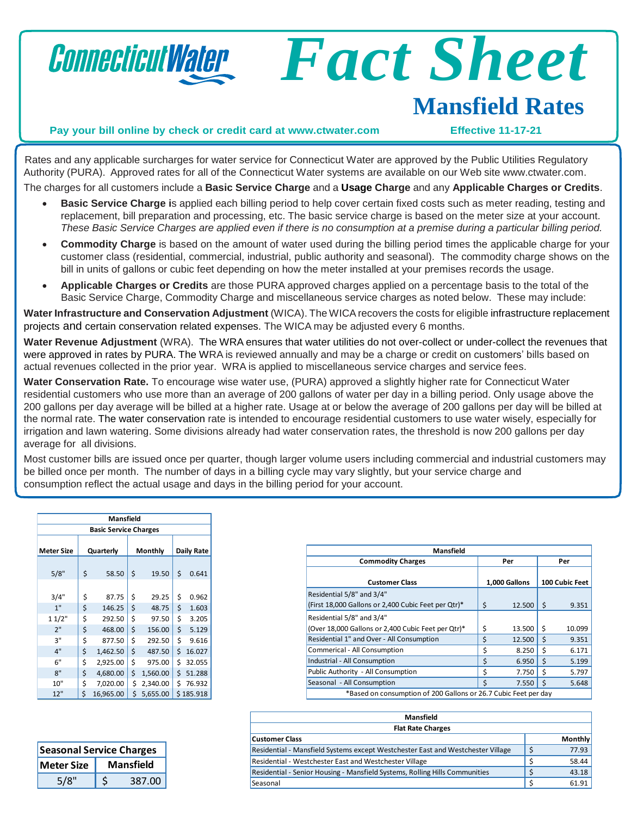

## **Mansfield Rates**

*Fact Sheet*

## **Pay your bill online by check or credit card at [www.ctwater.com](http://www.ctwater.com/) Effective 11-17-21**

Rates and any applicable surcharges for water service for Connecticut Water are approved by the Public Utilities Regulatory Authority (PURA). Approved rates for all of the Connecticut Water systems are available on our Web site [www.ctwater.com.](http://www.ctwater.com/) The charges for all customers include a **Basic Service Charge** and a **Usage Charge** and any **Applicable Charges or Credits**.

- **Basic Service Charge i**s applied each billing period to help cover certain fixed costs such as meter reading, testing and replacement, bill preparation and processing, etc. The basic service charge is based on the meter size at your account. These Basic Service Charges are applied even if there is no consumption at a premise during a particular billing period.
- **Commodity Charge** is based on the amount of water used during the billing period times the applicable charge for your customer class (residential, commercial, industrial, public authority and seasonal). The commodity charge shows on the bill in units of gallons or cubic feet depending on how the meter installed at your premises records the usage.
- **Applicable Charges or Credits** are those PURA approved charges applied on a percentage basis to the total of the Basic Service Charge, Commodity Charge and miscellaneous service charges as noted below. These may include:

**Water Infrastructure and Conservation Adjustment** (WICA). The WICArecovers the costs for eligible infrastructure replacement projects and certain conservation related expenses. The WICA may be adjusted every 6 months.

**Water Revenue Adjustment** (WRA). The WRA ensures that water utilities do not over-collect or under-collect the revenues that were approved in rates by PURA. The WRA is reviewed annually and may be a charge or credit on customers' bills based on actual revenues collected in the prior year. WRA is applied to miscellaneous service charges and service fees.

**Water Conservation Rate.** To encourage wise water use, (PURA) approved a slightly higher rate for Connecticut Water residential customers who use more than an average of 200 gallons of water per day in a billing period. Only usage above the 200 gallons per day average will be billed at a higher rate. Usage at or below the average of 200 gallons per day will be billed at the normal rate. The water conservation rate is intended to encourage residential customers to use water wisely, especially for irrigation and lawn watering. Some divisions already had water conservation rates, the threshold is now 200 gallons per day average for all divisions.

Most customer bills are issued once per quarter, though larger volume users including commercial and industrial customers may be billed once per month. The number of days in a billing cycle may vary slightly, but your service charge and consumption reflect the actual usage and days in the billing period for your account.

|                              |           | Mansfield |         |          |                   |           |
|------------------------------|-----------|-----------|---------|----------|-------------------|-----------|
| <b>Basic Service Charges</b> |           |           |         |          |                   |           |
| <b>Meter Size</b>            | Quarterly |           | Monthly |          | <b>Daily Rate</b> |           |
| 5/8"                         | \$        | 58.50     | \$      | 19.50    | \$                | 0.641     |
| 3/4"                         | \$        | 87.75     | \$      | 29.25    | \$                | 0.962     |
| 1"                           | \$        | 146.25    | \$      | 48.75    | \$                | 1.603     |
| 11/2"                        | \$        | 292.50    | \$      | 97.50    | \$                | 3.205     |
| 2"                           | \$        | 468.00    | \$      | 156.00   | \$                | 5.129     |
| 3"                           | \$        | 877.50    | \$      | 292.50   | \$                | 9.616     |
| 4"                           | \$        | 1,462.50  | \$      | 487.50   | \$                | 16.027    |
| 6"                           | \$        | 2,925.00  | \$      | 975.00   | \$                | 32.055    |
| 8"                           | \$        | 4,680.00  | \$      | 1,560.00 | \$                | 51.288    |
| 10"                          | \$        | 7,020.00  | \$      | 2,340.00 | Ś                 | 76.932    |
| 12"                          | \$        | 16,965.00 | \$      | 5,655.00 |                   | \$185.918 |

| <b>Seasonal Service Charges</b> |                  |        |  |
|---------------------------------|------------------|--------|--|
| <b>Meter Size</b>               | <b>Mansfield</b> |        |  |
| 5/8"                            |                  | 387.00 |  |

| Mansfield                                                                        |    |               |    |                |
|----------------------------------------------------------------------------------|----|---------------|----|----------------|
| <b>Commodity Charges</b>                                                         |    | Per           |    | Per            |
| <b>Customer Class</b>                                                            |    | 1,000 Gallons |    | 100 Cubic Feet |
| Residential 5/8" and 3/4"<br>(First 18,000 Gallons or 2,400 Cubic Feet per Qtr)* | \$ | 12.500        | Ś  | 9.351          |
| Residential 5/8" and 3/4"<br>(Over 18,000 Gallons or 2,400 Cubic Feet per Qtr)*  | \$ | 13.500        | Ŝ. | 10.099         |
| Residential 1" and Over - All Consumption                                        | \$ | 12.500        | Ś  | 9.351          |
| Commerical - All Consumption                                                     | Ś  | 8.250         | Ś  | 6.171          |
| Industrial - All Consumption                                                     | \$ | 6.950         | Ś  | 5.199          |
| Public Authority - All Consumption                                               | \$ | 7.750         | Ś  | 5.797          |
| Seasonal - All Consumption                                                       | Ś  | 7.550         | Ś  | 5.648          |
| *Based on consumption of 200 Gallons or 26.7 Cubic Feet per day                  |    |               |    |                |

\*Based on consumption of 200 Gallons or 26.7 Cubic Feet per day

| <b>Mansfield</b>                                                                |  |                |
|---------------------------------------------------------------------------------|--|----------------|
| <b>Flat Rate Charges</b>                                                        |  |                |
| <b>Customer Class</b>                                                           |  | <b>Monthly</b> |
| Residential - Mansfield Systems except Westchester East and Westchester Village |  | 77.93          |
| Residential - Westchester East and Westchester Village                          |  | 58.44          |
| Residential - Senior Housing - Mansfield Systems, Rolling Hills Communities     |  | 43.18          |
| Seasonal                                                                        |  | 61.91          |